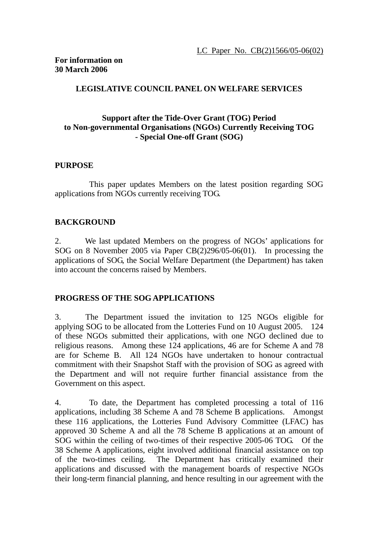## **LEGISLATIVE COUNCIL PANEL ON WELFARE SERVICES**

#### **Support after the Tide-Over Grant (TOG) Period to Non-governmental Organisations (NGOs) Currently Receiving TOG - Special One-off Grant (SOG)**

#### **PURPOSE**

 This paper updates Members on the latest position regarding SOG applications from NGOs currently receiving TOG.

## **BACKGROUND**

2. We last updated Members on the progress of NGOs' applications for SOG on 8 November 2005 via Paper CB(2)296/05-06(01). In processing the applications of SOG, the Social Welfare Department (the Department) has taken into account the concerns raised by Members.

#### **PROGRESS OF THE SOG APPLICATIONS**

3. The Department issued the invitation to 125 NGOs eligible for applying SOG to be allocated from the Lotteries Fund on 10 August 2005. 124 of these NGOs submitted their applications, with one NGO declined due to religious reasons. Among these 124 applications, 46 are for Scheme A and 78 are for Scheme B. All 124 NGOs have undertaken to honour contractual commitment with their Snapshot Staff with the provision of SOG as agreed with the Department and will not require further financial assistance from the Government on this aspect.

4. To date, the Department has completed processing a total of 116 applications, including 38 Scheme A and 78 Scheme B applications. Amongst these 116 applications, the Lotteries Fund Advisory Committee (LFAC) has approved 30 Scheme A and all the 78 Scheme B applications at an amount of SOG within the ceiling of two-times of their respective 2005-06 TOG. Of the 38 Scheme A applications, eight involved additional financial assistance on top of the two-times ceiling. The Department has critically examined their applications and discussed with the management boards of respective NGOs their long-term financial planning, and hence resulting in our agreement with the